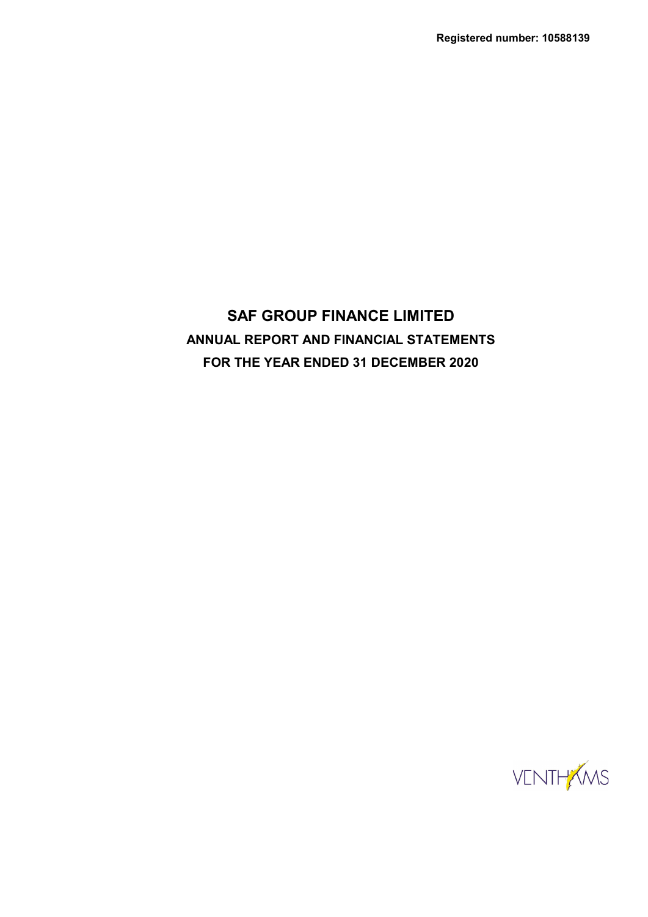# SAF GROUP FINANCE LIMITED ANNUAL REPORT AND FINANCIAL STATEMENTS FOR THE YEAR ENDED 31 DECEMBER 2020

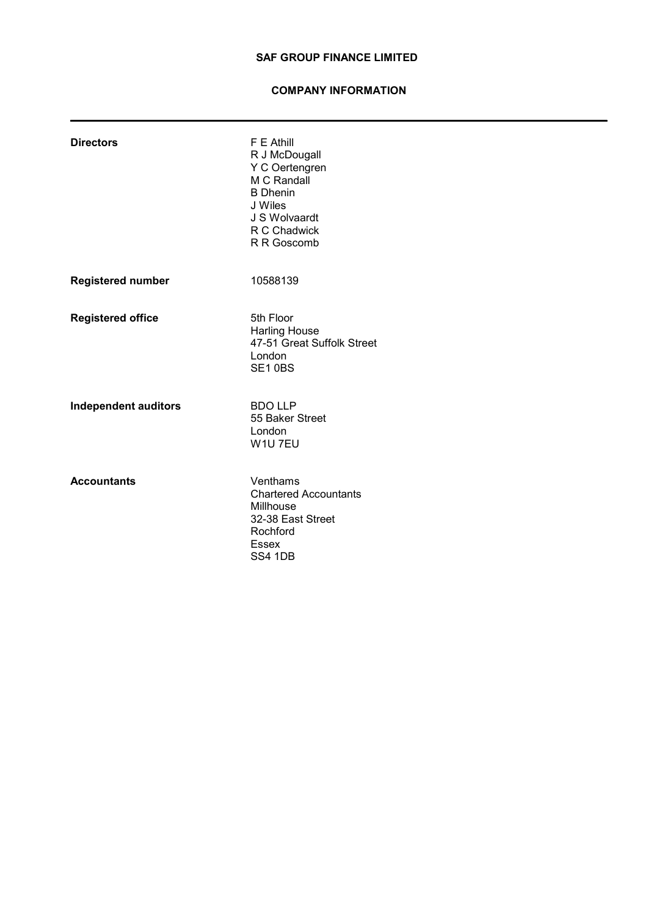### COMPANY INFORMATION

| <b>Directors</b>            | F E Athill<br>R J McDougall<br>Y C Oertengren<br>M C Randall<br><b>B</b> Dhenin<br>J Wiles<br>J S Wolvaardt<br>R C Chadwick<br>R R Goscomb |
|-----------------------------|--------------------------------------------------------------------------------------------------------------------------------------------|
| <b>Registered number</b>    | 10588139                                                                                                                                   |
| <b>Registered office</b>    | 5th Floor<br><b>Harling House</b><br>47-51 Great Suffolk Street<br>London<br>SE10BS                                                        |
| <b>Independent auditors</b> | <b>BDO LLP</b><br>55 Baker Street<br>London<br>W1U 7EU                                                                                     |
| <b>Accountants</b>          | Venthams<br><b>Chartered Accountants</b><br>Millhouse<br>32-38 East Street<br>Rochford<br>Essex<br>SS4 1DB                                 |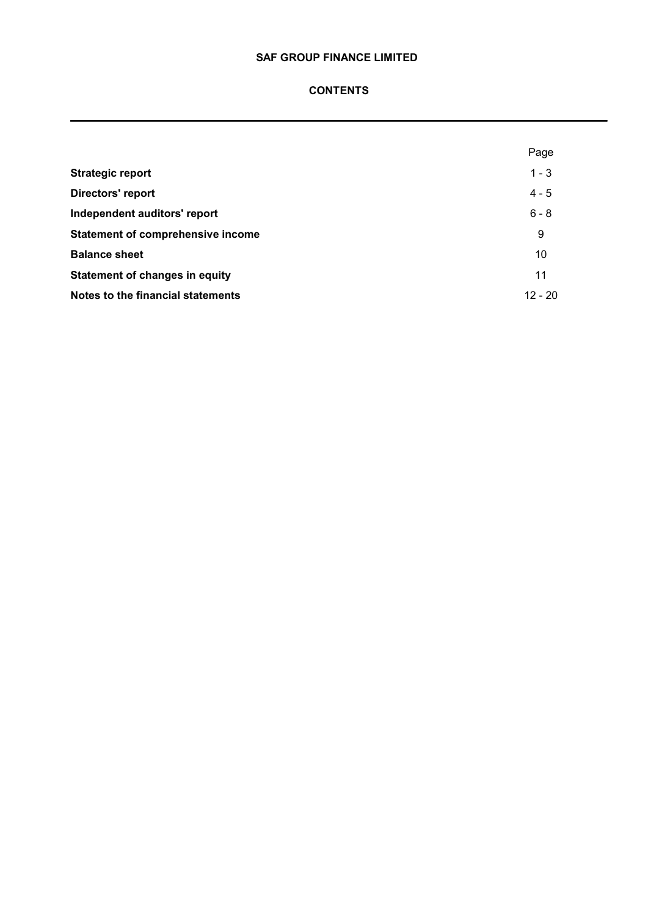# **CONTENTS**

|                                          | Page      |
|------------------------------------------|-----------|
| <b>Strategic report</b>                  | $1 - 3$   |
| Directors' report                        | $4 - 5$   |
| Independent auditors' report             | $6 - 8$   |
| <b>Statement of comprehensive income</b> | 9         |
| <b>Balance sheet</b>                     | 10        |
| <b>Statement of changes in equity</b>    | 11        |
| Notes to the financial statements        | $12 - 20$ |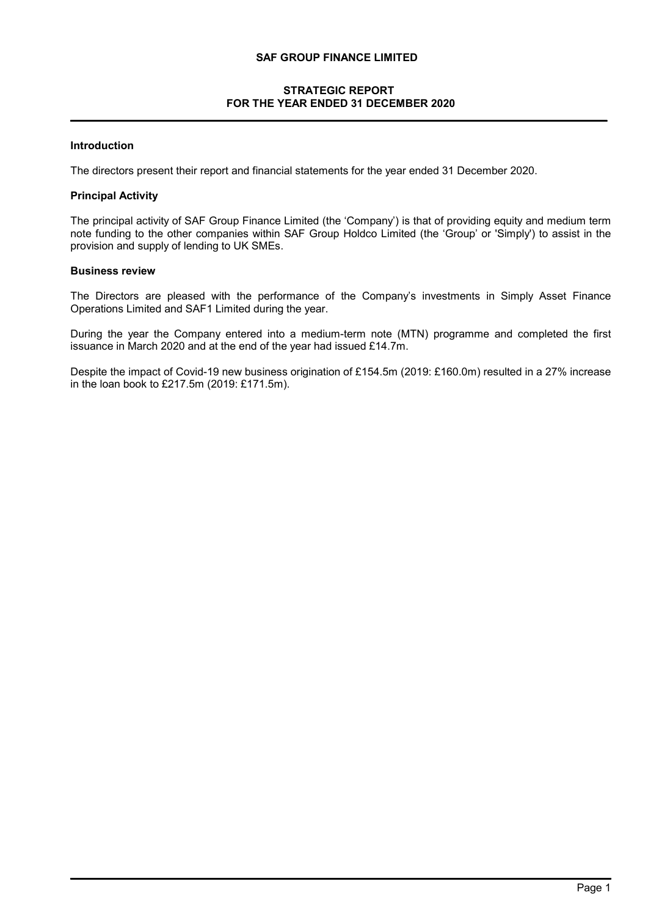#### STRATEGIC REPORT FOR THE YEAR ENDED 31 DECEMBER 2020

#### Introduction

The directors present their report and financial statements for the year ended 31 December 2020.

### Principal Activity

The principal activity of SAF Group Finance Limited (the 'Company') is that of providing equity and medium term note funding to the other companies within SAF Group Holdco Limited (the 'Group' or 'Simply') to assist in the provision and supply of lending to UK SMEs.

#### Business review

The Directors are pleased with the performance of the Company's investments in Simply Asset Finance Operations Limited and SAF1 Limited during the year.

During the year the Company entered into a medium-term note (MTN) programme and completed the first issuance in March 2020 and at the end of the year had issued £14.7m.

Despite the impact of Covid-19 new business origination of £154.5m (2019: £160.0m) resulted in a 27% increase in the loan book to £217.5m (2019: £171.5m).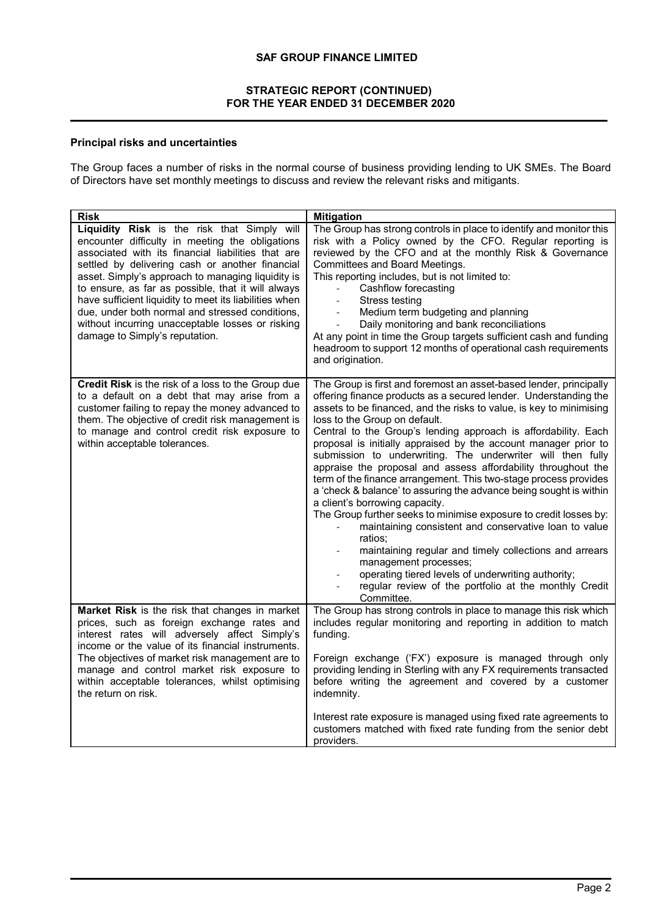### STRATEGIC REPORT (CONTINUED) FOR THE YEAR ENDED 31 DECEMBER 2020

### Principal risks and uncertainties

The Group faces a number of risks in the normal course of business providing lending to UK SMEs. The Board of Directors have set monthly meetings to discuss and review the relevant risks and mitigants.

| <b>Risk</b>                                                                                                                                                                                                                                                                                                                                                                                                                                                                                                           | <b>Mitigation</b>                                                                                                                                                                                                                                                                                                                                                                                                                                                                                                                                                                                                                                                                                                                                                                                                                                                                                                                                                                                                                                        |
|-----------------------------------------------------------------------------------------------------------------------------------------------------------------------------------------------------------------------------------------------------------------------------------------------------------------------------------------------------------------------------------------------------------------------------------------------------------------------------------------------------------------------|----------------------------------------------------------------------------------------------------------------------------------------------------------------------------------------------------------------------------------------------------------------------------------------------------------------------------------------------------------------------------------------------------------------------------------------------------------------------------------------------------------------------------------------------------------------------------------------------------------------------------------------------------------------------------------------------------------------------------------------------------------------------------------------------------------------------------------------------------------------------------------------------------------------------------------------------------------------------------------------------------------------------------------------------------------|
| Liquidity Risk is the risk that Simply will<br>encounter difficulty in meeting the obligations<br>associated with its financial liabilities that are<br>settled by delivering cash or another financial<br>asset. Simply's approach to managing liquidity is<br>to ensure, as far as possible, that it will always<br>have sufficient liquidity to meet its liabilities when<br>due, under both normal and stressed conditions,<br>without incurring unacceptable losses or risking<br>damage to Simply's reputation. | The Group has strong controls in place to identify and monitor this<br>risk with a Policy owned by the CFO. Regular reporting is<br>reviewed by the CFO and at the monthly Risk & Governance<br>Committees and Board Meetings.<br>This reporting includes, but is not limited to:<br>Cashflow forecasting<br>Stress testing<br>$\overline{\phantom{a}}$<br>Medium term budgeting and planning<br>$\overline{\phantom{a}}$<br>Daily monitoring and bank reconciliations<br>At any point in time the Group targets sufficient cash and funding<br>headroom to support 12 months of operational cash requirements<br>and origination.                                                                                                                                                                                                                                                                                                                                                                                                                       |
| Credit Risk is the risk of a loss to the Group due<br>to a default on a debt that may arise from a<br>customer failing to repay the money advanced to<br>them. The objective of credit risk management is<br>to manage and control credit risk exposure to<br>within acceptable tolerances.                                                                                                                                                                                                                           | The Group is first and foremost an asset-based lender, principally<br>offering finance products as a secured lender. Understanding the<br>assets to be financed, and the risks to value, is key to minimising<br>loss to the Group on default.<br>Central to the Group's lending approach is affordability. Each<br>proposal is initially appraised by the account manager prior to<br>submission to underwriting. The underwriter will then fully<br>appraise the proposal and assess affordability throughout the<br>term of the finance arrangement. This two-stage process provides<br>a 'check & balance' to assuring the advance being sought is within<br>a client's borrowing capacity.<br>The Group further seeks to minimise exposure to credit losses by:<br>maintaining consistent and conservative loan to value<br>ratios;<br>maintaining regular and timely collections and arrears<br>management processes;<br>operating tiered levels of underwriting authority;<br>regular review of the portfolio at the monthly Credit<br>Committee. |
| Market Risk is the risk that changes in market<br>prices, such as foreign exchange rates and<br>interest rates will adversely affect Simply's<br>income or the value of its financial instruments.<br>The objectives of market risk management are to<br>manage and control market risk exposure to<br>within acceptable tolerances, whilst optimising<br>the return on risk.                                                                                                                                         | The Group has strong controls in place to manage this risk which<br>includes regular monitoring and reporting in addition to match<br>funding.<br>Foreign exchange ('FX') exposure is managed through only<br>providing lending in Sterling with any FX requirements transacted<br>before writing the agreement and covered by a customer<br>indemnity.<br>Interest rate exposure is managed using fixed rate agreements to<br>customers matched with fixed rate funding from the senior debt<br>providers.                                                                                                                                                                                                                                                                                                                                                                                                                                                                                                                                              |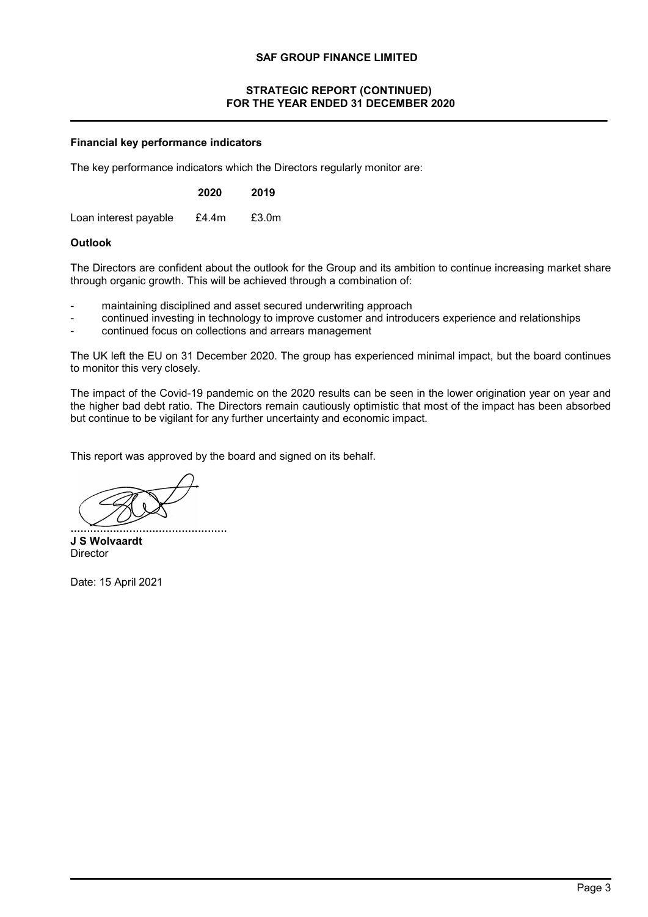#### STRATEGIC REPORT (CONTINUED) FOR THE YEAR ENDED 31 DECEMBER 2020

#### Financial key performance indicators

The key performance indicators which the Directors regularly monitor are:

| 2020 | 2019 |
|------|------|
|------|------|

Loan interest payable £4.4m £3.0m

### **Outlook**

The Directors are confident about the outlook for the Group and its ambition to continue increasing market share through organic growth. This will be achieved through a combination of:

- maintaining disciplined and asset secured underwriting approach
- continued investing in technology to improve customer and introducers experience and relationships
- continued focus on collections and arrears management

The UK left the EU on 31 December 2020. The group has experienced minimal impact, but the board continues to monitor this very closely.

The impact of the Covid-19 pandemic on the 2020 results can be seen in the lower origination year on year and the higher bad debt ratio. The Directors remain cautiously optimistic that most of the impact has been absorbed but continue to be vigilant for any further uncertainty and economic impact.

This report was approved by the board and signed on its behalf.

................................................ J S Wolvaardt **Director** 

Date: 15 April 2021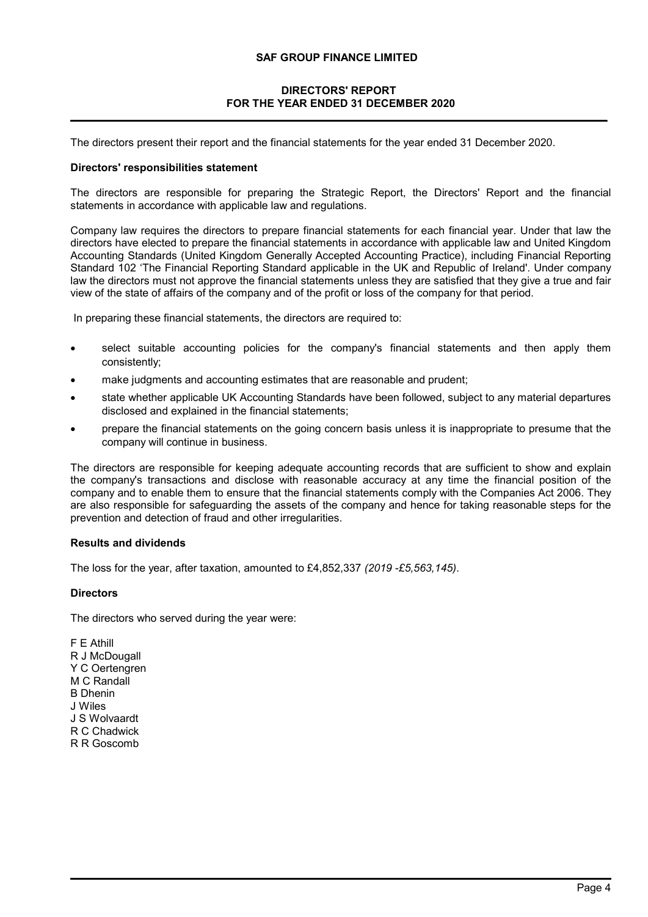#### DIRECTORS' REPORT FOR THE YEAR ENDED 31 DECEMBER 2020

The directors present their report and the financial statements for the year ended 31 December 2020.

#### Directors' responsibilities statement

The directors are responsible for preparing the Strategic Report, the Directors' Report and the financial statements in accordance with applicable law and regulations.

Company law requires the directors to prepare financial statements for each financial year. Under that law the directors have elected to prepare the financial statements in accordance with applicable law and United Kingdom Accounting Standards (United Kingdom Generally Accepted Accounting Practice), including Financial Reporting Standard 102 'The Financial Reporting Standard applicable in the UK and Republic of Ireland'. Under company law the directors must not approve the financial statements unless they are satisfied that they give a true and fair view of the state of affairs of the company and of the profit or loss of the company for that period.

In preparing these financial statements, the directors are required to:

- select suitable accounting policies for the company's financial statements and then apply them consistently;
- make judgments and accounting estimates that are reasonable and prudent;
- state whether applicable UK Accounting Standards have been followed, subject to any material departures disclosed and explained in the financial statements;
- prepare the financial statements on the going concern basis unless it is inappropriate to presume that the company will continue in business.

The directors are responsible for keeping adequate accounting records that are sufficient to show and explain the company's transactions and disclose with reasonable accuracy at any time the financial position of the company and to enable them to ensure that the financial statements comply with the Companies Act 2006. They are also responsible for safeguarding the assets of the company and hence for taking reasonable steps for the prevention and detection of fraud and other irregularities.

#### Results and dividends

The loss for the year, after taxation, amounted to £4,852,337 (2019 -£5,563,145).

#### **Directors**

The directors who served during the year were:

F E Athill R J McDougall Y C Oertengren M C Randall B Dhenin J Wiles J S Wolvaardt R C Chadwick R R Goscomb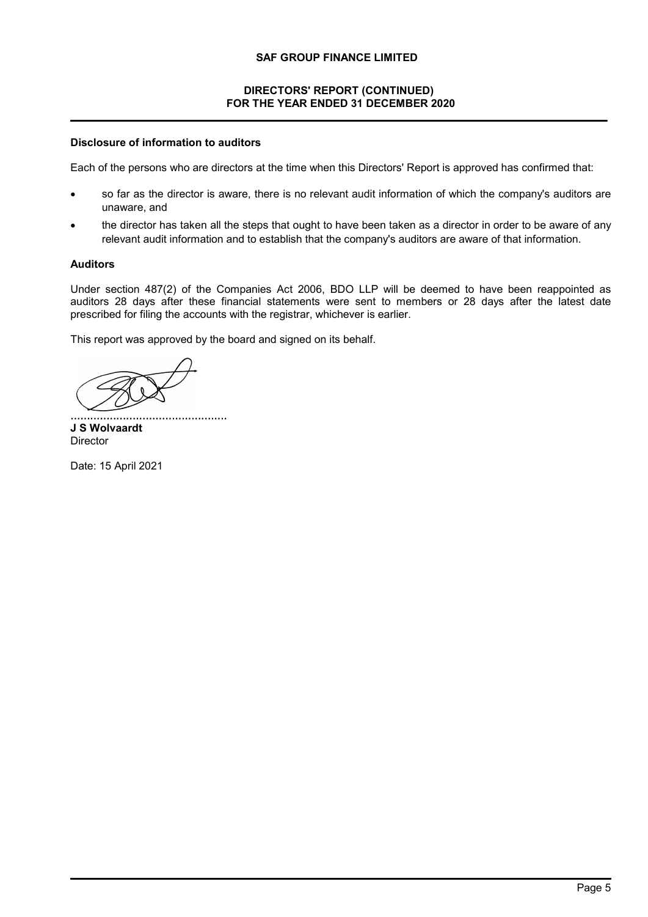#### DIRECTORS' REPORT (CONTINUED) FOR THE YEAR ENDED 31 DECEMBER 2020

#### Disclosure of information to auditors

Each of the persons who are directors at the time when this Directors' Report is approved has confirmed that:

- so far as the director is aware, there is no relevant audit information of which the company's auditors are unaware, and
- the director has taken all the steps that ought to have been taken as a director in order to be aware of any relevant audit information and to establish that the company's auditors are aware of that information.

#### Auditors

Under section 487(2) of the Companies Act 2006, BDO LLP will be deemed to have been reappointed as auditors 28 days after these financial statements were sent to members or 28 days after the latest date prescribed for filing the accounts with the registrar, whichever is earlier.

This report was approved by the board and signed on its behalf.

................................................ J S Wolvaardt **Director** 

Date: 15 April 2021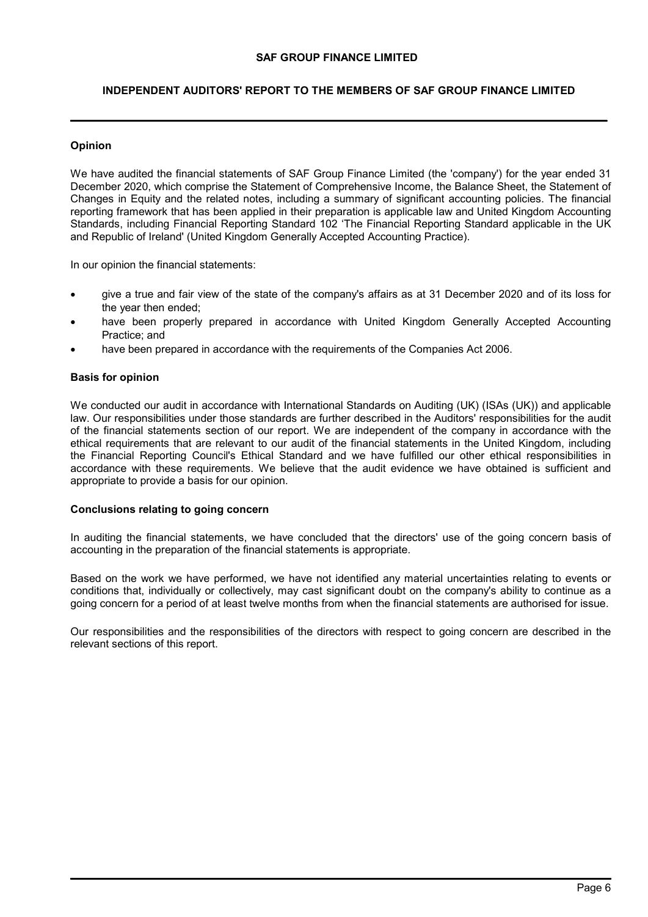## INDEPENDENT AUDITORS' REPORT TO THE MEMBERS OF SAF GROUP FINANCE LIMITED

### Opinion

We have audited the financial statements of SAF Group Finance Limited (the 'company') for the year ended 31 December 2020, which comprise the Statement of Comprehensive Income, the Balance Sheet, the Statement of Changes in Equity and the related notes, including a summary of significant accounting policies. The financial reporting framework that has been applied in their preparation is applicable law and United Kingdom Accounting Standards, including Financial Reporting Standard 102 'The Financial Reporting Standard applicable in the UK and Republic of Ireland' (United Kingdom Generally Accepted Accounting Practice).

In our opinion the financial statements:

- give a true and fair view of the state of the company's affairs as at 31 December 2020 and of its loss for the year then ended;
- have been properly prepared in accordance with United Kingdom Generally Accepted Accounting Practice; and
- have been prepared in accordance with the requirements of the Companies Act 2006.

#### Basis for opinion

We conducted our audit in accordance with International Standards on Auditing (UK) (ISAs (UK)) and applicable law. Our responsibilities under those standards are further described in the Auditors' responsibilities for the audit of the financial statements section of our report. We are independent of the company in accordance with the ethical requirements that are relevant to our audit of the financial statements in the United Kingdom, including the Financial Reporting Council's Ethical Standard and we have fulfilled our other ethical responsibilities in accordance with these requirements. We believe that the audit evidence we have obtained is sufficient and appropriate to provide a basis for our opinion.

#### Conclusions relating to going concern

In auditing the financial statements, we have concluded that the directors' use of the going concern basis of accounting in the preparation of the financial statements is appropriate.

Based on the work we have performed, we have not identified any material uncertainties relating to events or conditions that, individually or collectively, may cast significant doubt on the company's ability to continue as a going concern for a period of at least twelve months from when the financial statements are authorised for issue.

Our responsibilities and the responsibilities of the directors with respect to going concern are described in the relevant sections of this report.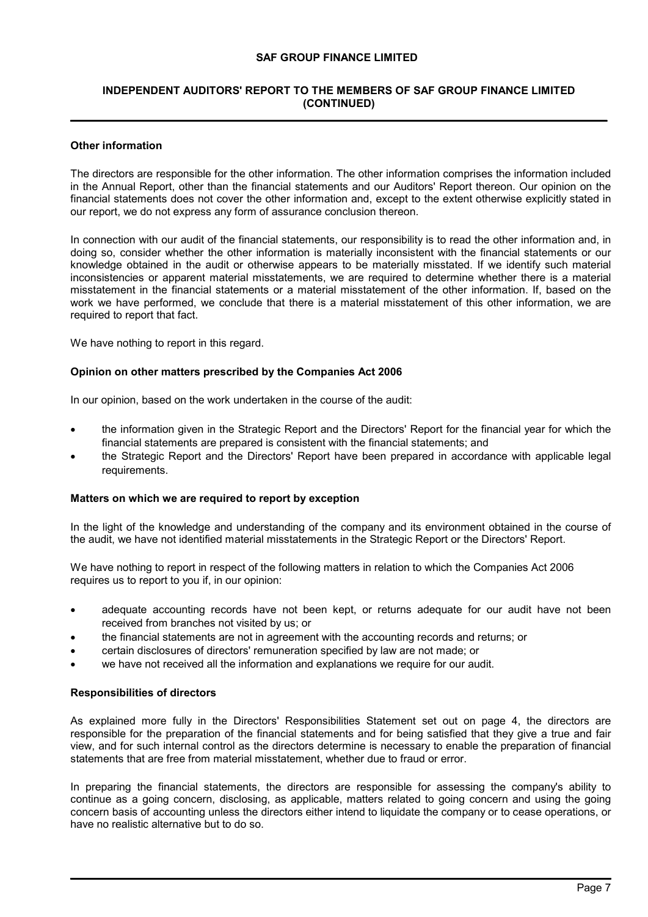### INDEPENDENT AUDITORS' REPORT TO THE MEMBERS OF SAF GROUP FINANCE LIMITED (CONTINUED)

### Other information

The directors are responsible for the other information. The other information comprises the information included in the Annual Report, other than the financial statements and our Auditors' Report thereon. Our opinion on the financial statements does not cover the other information and, except to the extent otherwise explicitly stated in our report, we do not express any form of assurance conclusion thereon.

In connection with our audit of the financial statements, our responsibility is to read the other information and, in doing so, consider whether the other information is materially inconsistent with the financial statements or our knowledge obtained in the audit or otherwise appears to be materially misstated. If we identify such material inconsistencies or apparent material misstatements, we are required to determine whether there is a material misstatement in the financial statements or a material misstatement of the other information. If, based on the work we have performed, we conclude that there is a material misstatement of this other information, we are required to report that fact.

We have nothing to report in this regard.

#### Opinion on other matters prescribed by the Companies Act 2006

In our opinion, based on the work undertaken in the course of the audit:

- the information given in the Strategic Report and the Directors' Report for the financial year for which the financial statements are prepared is consistent with the financial statements; and
- the Strategic Report and the Directors' Report have been prepared in accordance with applicable legal requirements.

#### Matters on which we are required to report by exception

In the light of the knowledge and understanding of the company and its environment obtained in the course of the audit, we have not identified material misstatements in the Strategic Report or the Directors' Report.

We have nothing to report in respect of the following matters in relation to which the Companies Act 2006 requires us to report to you if, in our opinion:

- adequate accounting records have not been kept, or returns adequate for our audit have not been received from branches not visited by us; or
- the financial statements are not in agreement with the accounting records and returns; or
- certain disclosures of directors' remuneration specified by law are not made; or
- we have not received all the information and explanations we require for our audit.

#### Responsibilities of directors

As explained more fully in the Directors' Responsibilities Statement set out on page 4, the directors are responsible for the preparation of the financial statements and for being satisfied that they give a true and fair view, and for such internal control as the directors determine is necessary to enable the preparation of financial statements that are free from material misstatement, whether due to fraud or error.

In preparing the financial statements, the directors are responsible for assessing the company's ability to continue as a going concern, disclosing, as applicable, matters related to going concern and using the going concern basis of accounting unless the directors either intend to liquidate the company or to cease operations, or have no realistic alternative but to do so.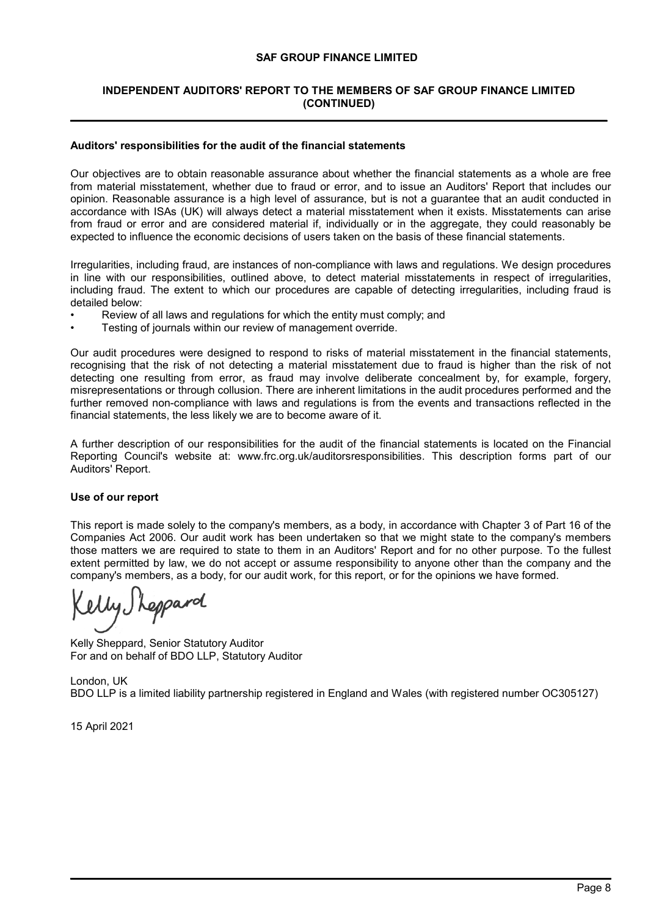### INDEPENDENT AUDITORS' REPORT TO THE MEMBERS OF SAF GROUP FINANCE LIMITED (CONTINUED)

### Auditors' responsibilities for the audit of the financial statements

Our objectives are to obtain reasonable assurance about whether the financial statements as a whole are free from material misstatement, whether due to fraud or error, and to issue an Auditors' Report that includes our opinion. Reasonable assurance is a high level of assurance, but is not a guarantee that an audit conducted in accordance with ISAs (UK) will always detect a material misstatement when it exists. Misstatements can arise from fraud or error and are considered material if, individually or in the aggregate, they could reasonably be expected to influence the economic decisions of users taken on the basis of these financial statements.

Irregularities, including fraud, are instances of non-compliance with laws and regulations. We design procedures in line with our responsibilities, outlined above, to detect material misstatements in respect of irregularities, including fraud. The extent to which our procedures are capable of detecting irregularities, including fraud is detailed below:

- Review of all laws and regulations for which the entity must comply; and
- Testing of journals within our review of management override.

Our audit procedures were designed to respond to risks of material misstatement in the financial statements, recognising that the risk of not detecting a material misstatement due to fraud is higher than the risk of not detecting one resulting from error, as fraud may involve deliberate concealment by, for example, forgery, misrepresentations or through collusion. There are inherent limitations in the audit procedures performed and the further removed non-compliance with laws and regulations is from the events and transactions reflected in the financial statements, the less likely we are to become aware of it.

A further description of our responsibilities for the audit of the financial statements is located on the Financial Reporting Council's website at: www.frc.org.uk/auditorsresponsibilities. This description forms part of our Auditors' Report.

#### Use of our report

This report is made solely to the company's members, as a body, in accordance with Chapter 3 of Part 16 of the Companies Act 2006. Our audit work has been undertaken so that we might state to the company's members those matters we are required to state to them in an Auditors' Report and for no other purpose. To the fullest extent permitted by law, we do not accept or assume responsibility to anyone other than the company and the company's members, as a body, for our audit work, for this report, or for the opinions we have formed.

elly reppard

Kelly Sheppard, Senior Statutory Auditor For and on behalf of BDO LLP, Statutory Auditor

London, UK BDO LLP is a limited liability partnership registered in England and Wales (with registered number OC305127)

15 April 2021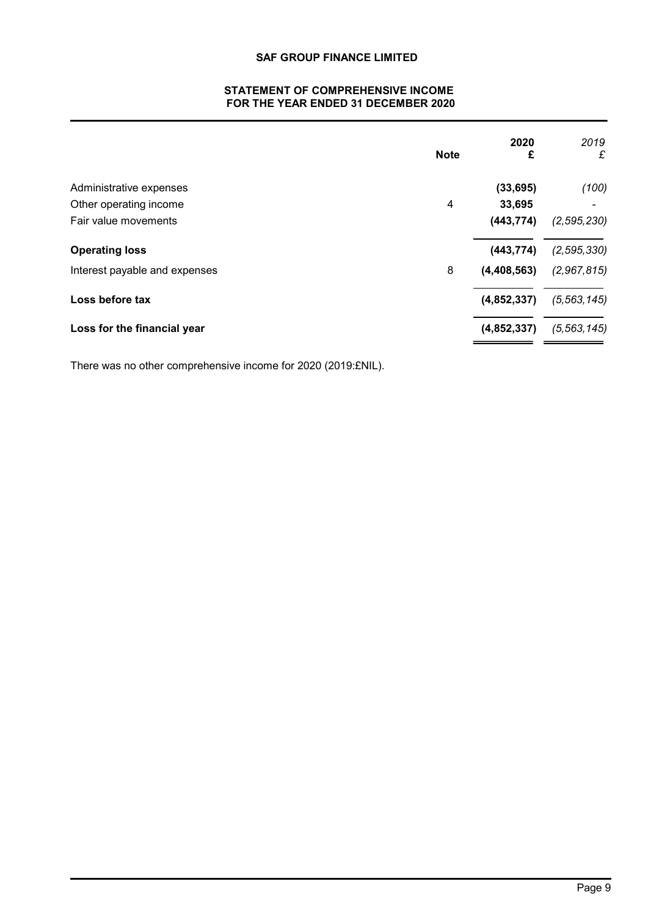### STATEMENT OF COMPREHENSIVE INCOME FOR THE YEAR ENDED 31 DECEMBER 2020

|                               | <b>Note</b> | 2020<br>£     | 2019<br>£     |
|-------------------------------|-------------|---------------|---------------|
| Administrative expenses       |             | (33, 695)     | (100)         |
| Other operating income        | 4           | 33,695        |               |
| Fair value movements          |             | (443, 774)    | (2, 595, 230) |
| <b>Operating loss</b>         |             | (443, 774)    | (2, 595, 330) |
| Interest payable and expenses | 8           | (4, 408, 563) | (2,967,815)   |
| Loss before tax               |             | (4,852,337)   | (5, 563, 145) |
| Loss for the financial year   |             | (4,852,337)   | (5, 563, 145) |

There was no other comprehensive income for 2020 (2019:£NIL).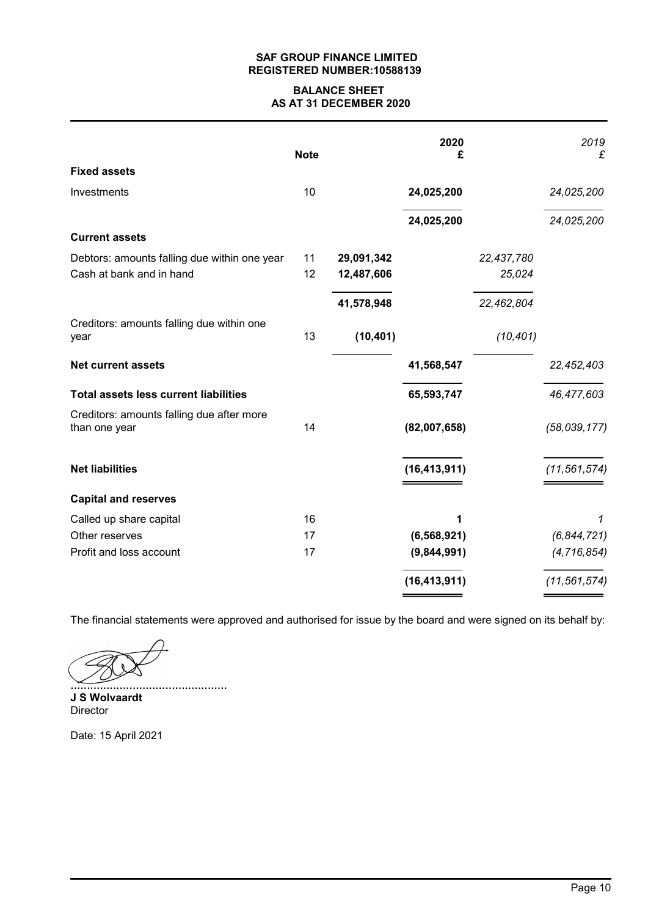### SAF GROUP FINANCE LIMITED REGISTERED NUMBER:10588139

### BALANCE SHEET AS AT 31 DECEMBER 2020

|                                                            | <b>Note</b> |            | 2020<br>£      |            | 2019<br>£      |
|------------------------------------------------------------|-------------|------------|----------------|------------|----------------|
| <b>Fixed assets</b>                                        |             |            |                |            |                |
| Investments                                                | 10          |            | 24,025,200     |            | 24,025,200     |
|                                                            |             |            | 24,025,200     |            | 24,025,200     |
| <b>Current assets</b>                                      |             |            |                |            |                |
| Debtors: amounts falling due within one year               | 11          | 29,091,342 |                | 22,437,780 |                |
| Cash at bank and in hand                                   | 12          | 12,487,606 |                | 25,024     |                |
|                                                            |             | 41,578,948 |                | 22,462,804 |                |
| Creditors: amounts falling due within one<br>year          | 13          | (10, 401)  |                | (10, 401)  |                |
| <b>Net current assets</b>                                  |             |            | 41,568,547     |            | 22,452,403     |
| <b>Total assets less current liabilities</b>               |             |            | 65,593,747     |            | 46,477,603     |
| Creditors: amounts falling due after more<br>than one year | 14          |            | (82,007,658)   |            | (58, 039, 177) |
| <b>Net liabilities</b>                                     |             |            | (16, 413, 911) |            | (11, 561, 574) |
| <b>Capital and reserves</b>                                |             |            |                |            |                |
| Called up share capital                                    | 16          |            | 1              |            | 1              |
| Other reserves                                             | 17          |            | (6, 568, 921)  |            | (6, 844, 721)  |
| Profit and loss account                                    | 17          |            | (9,844,991)    |            | (4, 716, 854)  |
|                                                            |             |            | (16, 413, 911) |            | (11, 561, 574) |

The financial statements were approved and authorised for issue by the board and were signed on its behalf by:

................................................ J S Wolvaardt Director

Date: 15 April 2021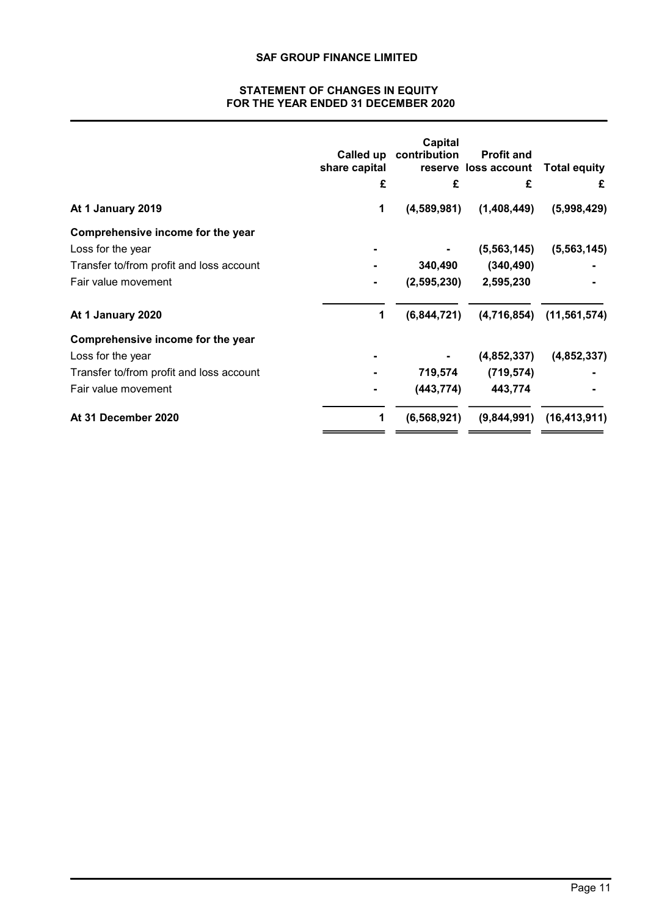### STATEMENT OF CHANGES IN EQUITY FOR THE YEAR ENDED 31 DECEMBER 2020

|                                          | share capital<br>£ | Capital<br>Called up contribution<br>£ | <b>Profit and</b><br>reserve loss account<br>£ | <b>Total equity</b><br>£ |
|------------------------------------------|--------------------|----------------------------------------|------------------------------------------------|--------------------------|
| At 1 January 2019                        | 1                  | (4,589,981)                            | (1,408,449)                                    | (5,998,429)              |
| Comprehensive income for the year        |                    |                                        |                                                |                          |
| Loss for the year                        |                    |                                        | (5,563,145)                                    | (5, 563, 145)            |
| Transfer to/from profit and loss account |                    | 340,490                                | (340, 490)                                     |                          |
| Fair value movement                      |                    | (2,595,230)                            | 2,595,230                                      |                          |
| At 1 January 2020                        | 1                  | (6,844,721)                            | (4,716,854)                                    | (11, 561, 574)           |
| Comprehensive income for the year        |                    |                                        |                                                |                          |
| Loss for the year                        |                    |                                        | (4,852,337)                                    | (4,852,337)              |
| Transfer to/from profit and loss account |                    | 719,574                                | (719, 574)                                     |                          |
| Fair value movement                      |                    | (443, 774)                             | 443,774                                        |                          |
| At 31 December 2020                      | 1                  | (6, 568, 921)                          | (9,844,991)                                    | (16, 413, 911)           |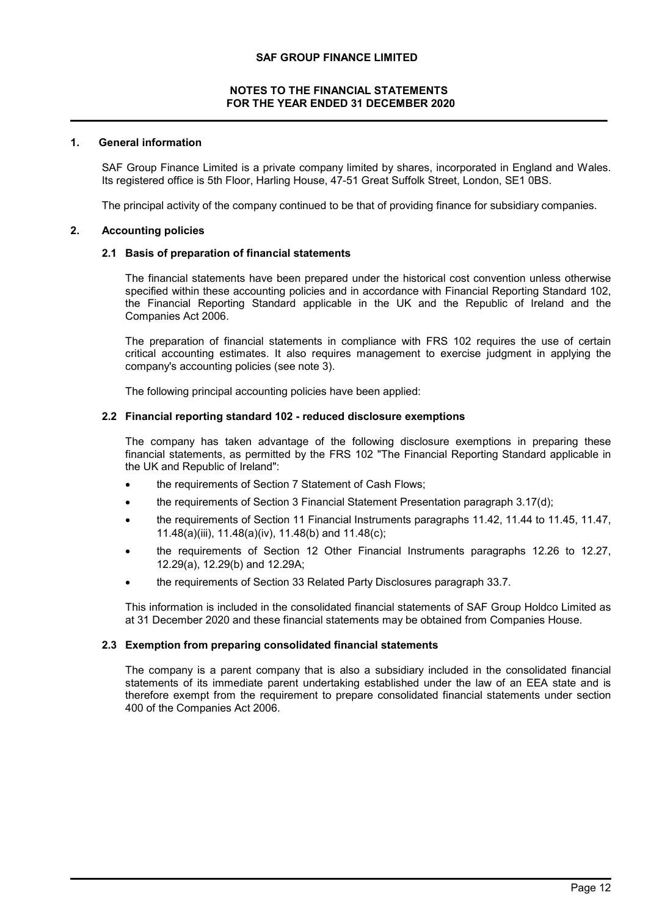#### NOTES TO THE FINANCIAL STATEMENTS FOR THE YEAR ENDED 31 DECEMBER 2020

#### 1. General information

SAF Group Finance Limited is a private company limited by shares, incorporated in England and Wales. Its registered office is 5th Floor, Harling House, 47-51 Great Suffolk Street, London, SE1 0BS.

The principal activity of the company continued to be that of providing finance for subsidiary companies.

#### 2. Accounting policies

#### 2.1 Basis of preparation of financial statements

The financial statements have been prepared under the historical cost convention unless otherwise specified within these accounting policies and in accordance with Financial Reporting Standard 102, the Financial Reporting Standard applicable in the UK and the Republic of Ireland and the Companies Act 2006.

The preparation of financial statements in compliance with FRS 102 requires the use of certain critical accounting estimates. It also requires management to exercise judgment in applying the company's accounting policies (see note 3).

The following principal accounting policies have been applied:

#### 2.2 Financial reporting standard 102 - reduced disclosure exemptions

The company has taken advantage of the following disclosure exemptions in preparing these financial statements, as permitted by the FRS 102 "The Financial Reporting Standard applicable in the UK and Republic of Ireland":

- the requirements of Section 7 Statement of Cash Flows;
- the requirements of Section 3 Financial Statement Presentation paragraph 3.17(d);
- the requirements of Section 11 Financial Instruments paragraphs 11.42, 11.44 to 11.45, 11.47, 11.48(a)(iii), 11.48(a)(iv), 11.48(b) and 11.48(c);
- the requirements of Section 12 Other Financial Instruments paragraphs 12.26 to 12.27, 12.29(a), 12.29(b) and 12.29A;
- the requirements of Section 33 Related Party Disclosures paragraph 33.7.

This information is included in the consolidated financial statements of SAF Group Holdco Limited as at 31 December 2020 and these financial statements may be obtained from Companies House.

#### 2.3 Exemption from preparing consolidated financial statements

The company is a parent company that is also a subsidiary included in the consolidated financial statements of its immediate parent undertaking established under the law of an EEA state and is therefore exempt from the requirement to prepare consolidated financial statements under section 400 of the Companies Act 2006.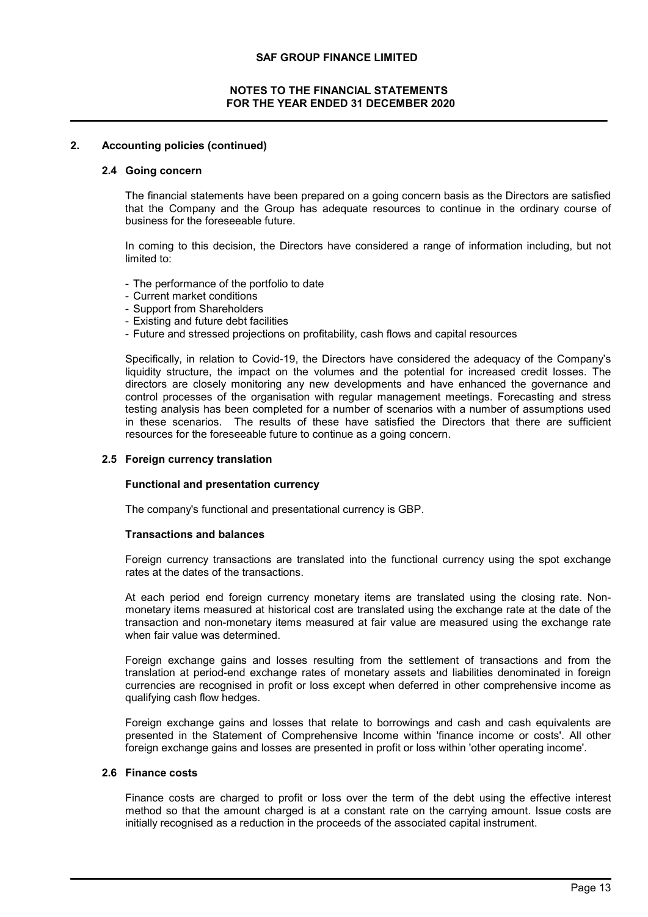#### 2. Accounting policies (continued)

#### 2.4 Going concern

The financial statements have been prepared on a going concern basis as the Directors are satisfied that the Company and the Group has adequate resources to continue in the ordinary course of business for the foreseeable future.

In coming to this decision, the Directors have considered a range of information including, but not limited to:

- The performance of the portfolio to date
- Current market conditions
- Support from Shareholders
- Existing and future debt facilities
- Future and stressed projections on profitability, cash flows and capital resources

Specifically, in relation to Covid-19, the Directors have considered the adequacy of the Company's liquidity structure, the impact on the volumes and the potential for increased credit losses. The directors are closely monitoring any new developments and have enhanced the governance and control processes of the organisation with regular management meetings. Forecasting and stress testing analysis has been completed for a number of scenarios with a number of assumptions used in these scenarios. The results of these have satisfied the Directors that there are sufficient resources for the foreseeable future to continue as a going concern.

#### 2.5 Foreign currency translation

#### Functional and presentation currency

The company's functional and presentational currency is GBP.

#### Transactions and balances

Foreign currency transactions are translated into the functional currency using the spot exchange rates at the dates of the transactions.

At each period end foreign currency monetary items are translated using the closing rate. Nonmonetary items measured at historical cost are translated using the exchange rate at the date of the transaction and non-monetary items measured at fair value are measured using the exchange rate when fair value was determined.

Foreign exchange gains and losses resulting from the settlement of transactions and from the translation at period-end exchange rates of monetary assets and liabilities denominated in foreign currencies are recognised in profit or loss except when deferred in other comprehensive income as qualifying cash flow hedges.

Foreign exchange gains and losses that relate to borrowings and cash and cash equivalents are presented in the Statement of Comprehensive Income within 'finance income or costs'. All other foreign exchange gains and losses are presented in profit or loss within 'other operating income'.

#### 2.6 Finance costs

Finance costs are charged to profit or loss over the term of the debt using the effective interest method so that the amount charged is at a constant rate on the carrying amount. Issue costs are initially recognised as a reduction in the proceeds of the associated capital instrument.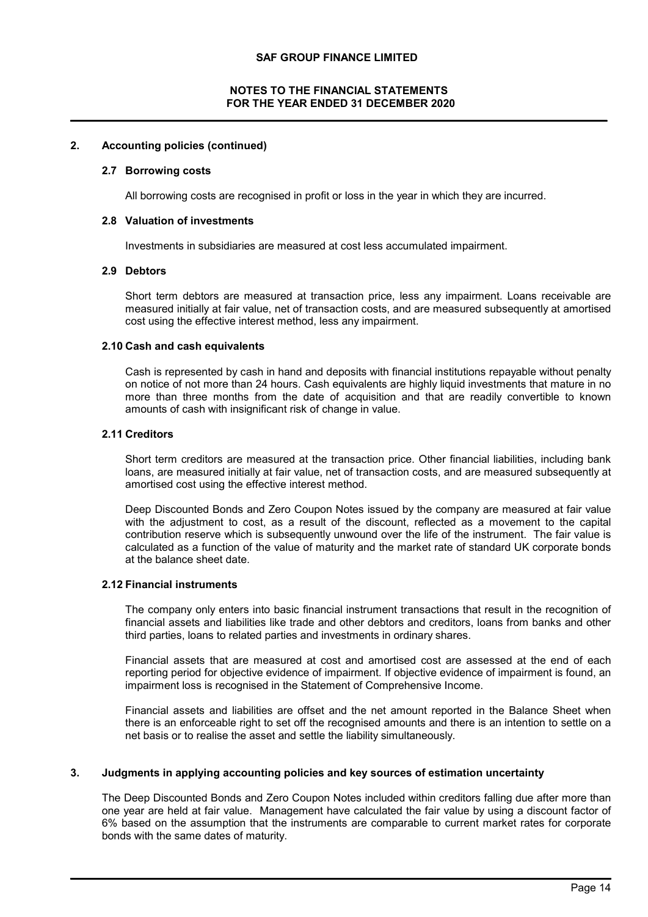#### 2. Accounting policies (continued)

#### 2.7 Borrowing costs

All borrowing costs are recognised in profit or loss in the year in which they are incurred.

#### 2.8 Valuation of investments

Investments in subsidiaries are measured at cost less accumulated impairment.

#### 2.9 Debtors

Short term debtors are measured at transaction price, less any impairment. Loans receivable are measured initially at fair value, net of transaction costs, and are measured subsequently at amortised cost using the effective interest method, less any impairment.

#### 2.10 Cash and cash equivalents

Cash is represented by cash in hand and deposits with financial institutions repayable without penalty on notice of not more than 24 hours. Cash equivalents are highly liquid investments that mature in no more than three months from the date of acquisition and that are readily convertible to known amounts of cash with insignificant risk of change in value.

#### 2.11 Creditors

Short term creditors are measured at the transaction price. Other financial liabilities, including bank loans, are measured initially at fair value, net of transaction costs, and are measured subsequently at amortised cost using the effective interest method.

Deep Discounted Bonds and Zero Coupon Notes issued by the company are measured at fair value with the adjustment to cost, as a result of the discount, reflected as a movement to the capital contribution reserve which is subsequently unwound over the life of the instrument. The fair value is calculated as a function of the value of maturity and the market rate of standard UK corporate bonds at the balance sheet date.

#### 2.12 Financial instruments

The company only enters into basic financial instrument transactions that result in the recognition of financial assets and liabilities like trade and other debtors and creditors, loans from banks and other third parties, loans to related parties and investments in ordinary shares.

Financial assets that are measured at cost and amortised cost are assessed at the end of each reporting period for objective evidence of impairment. If objective evidence of impairment is found, an impairment loss is recognised in the Statement of Comprehensive Income.

Financial assets and liabilities are offset and the net amount reported in the Balance Sheet when there is an enforceable right to set off the recognised amounts and there is an intention to settle on a net basis or to realise the asset and settle the liability simultaneously.

#### 3. Judgments in applying accounting policies and key sources of estimation uncertainty

The Deep Discounted Bonds and Zero Coupon Notes included within creditors falling due after more than one year are held at fair value. Management have calculated the fair value by using a discount factor of 6% based on the assumption that the instruments are comparable to current market rates for corporate bonds with the same dates of maturity.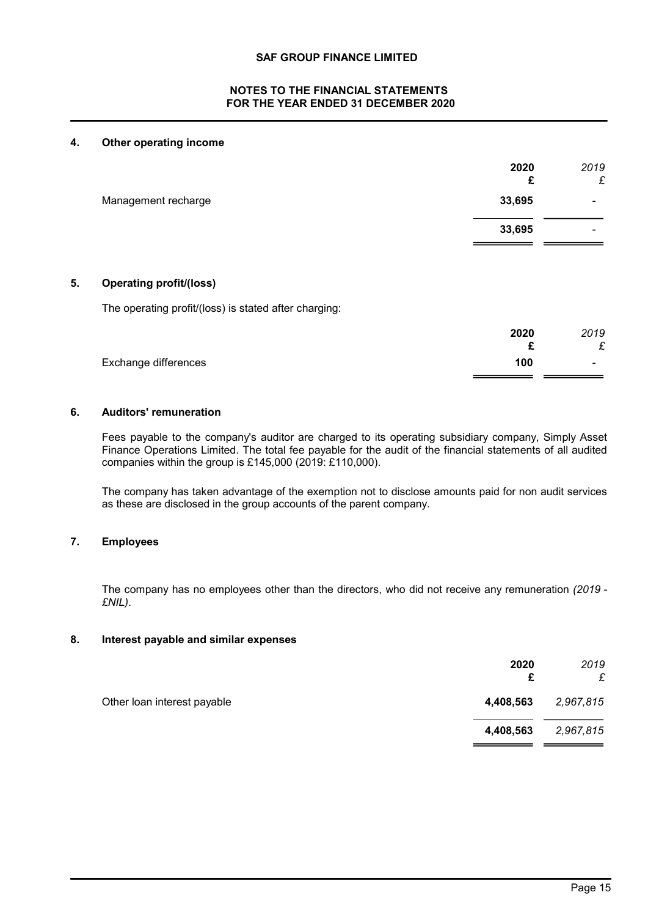### 4. Other operating income

|                     | 2020<br>£ | 2019<br>£                |
|---------------------|-----------|--------------------------|
| Management recharge | 33,695    | $\overline{\phantom{0}}$ |
|                     | 33,695    | $\overline{\phantom{0}}$ |
|                     |           |                          |

### 5. Operating profit/(loss)

The operating profit/(loss) is stated after charging:

|                      | 2020 | 2019                     |
|----------------------|------|--------------------------|
|                      |      | £                        |
| Exchange differences | 100  | $\overline{\phantom{0}}$ |
|                      |      |                          |

### 6. Auditors' remuneration

Fees payable to the company's auditor are charged to its operating subsidiary company, Simply Asset Finance Operations Limited. The total fee payable for the audit of the financial statements of all audited companies within the group is £145,000 (2019: £110,000).

The company has taken advantage of the exemption not to disclose amounts paid for non audit services as these are disclosed in the group accounts of the parent company.

### 7. Employees

The company has no employees other than the directors, who did not receive any remuneration (2019 - £NIL).

### 8. Interest payable and similar expenses

|                             | 2020      | 2019<br>£ |
|-----------------------------|-----------|-----------|
| Other loan interest payable | 4,408,563 | 2,967,815 |
|                             | 4,408,563 | 2,967,815 |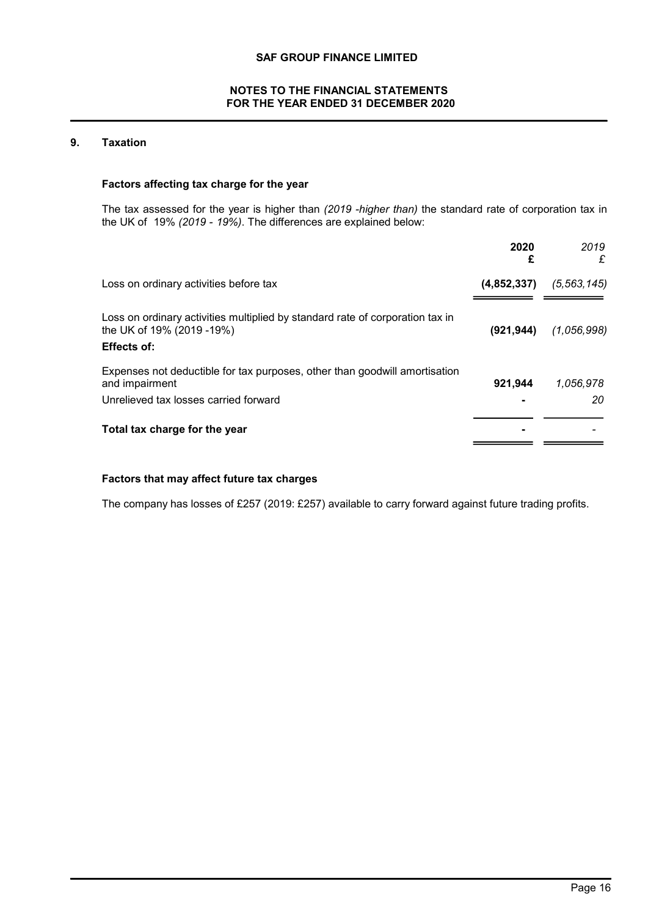# 9. Taxation

#### Factors affecting tax charge for the year

The tax assessed for the year is higher than (2019 -higher than) the standard rate of corporation tax in the UK of 19% (2019 - 19%). The differences are explained below:

|                                                                                                                                       | 2020<br>£   | 2019<br>£       |
|---------------------------------------------------------------------------------------------------------------------------------------|-------------|-----------------|
| Loss on ordinary activities before tax                                                                                                | (4,852,337) | (5, 563, 145)   |
| Loss on ordinary activities multiplied by standard rate of corporation tax in<br>the UK of 19% (2019 - 19%)<br><b>Effects of:</b>     | (921, 944)  | (1,056,998)     |
| Expenses not deductible for tax purposes, other than goodwill amortisation<br>and impairment<br>Unrelieved tax losses carried forward | 921,944     | 1,056,978<br>20 |
| Total tax charge for the year                                                                                                         |             |                 |

#### Factors that may affect future tax charges

The company has losses of £257 (2019: £257) available to carry forward against future trading profits.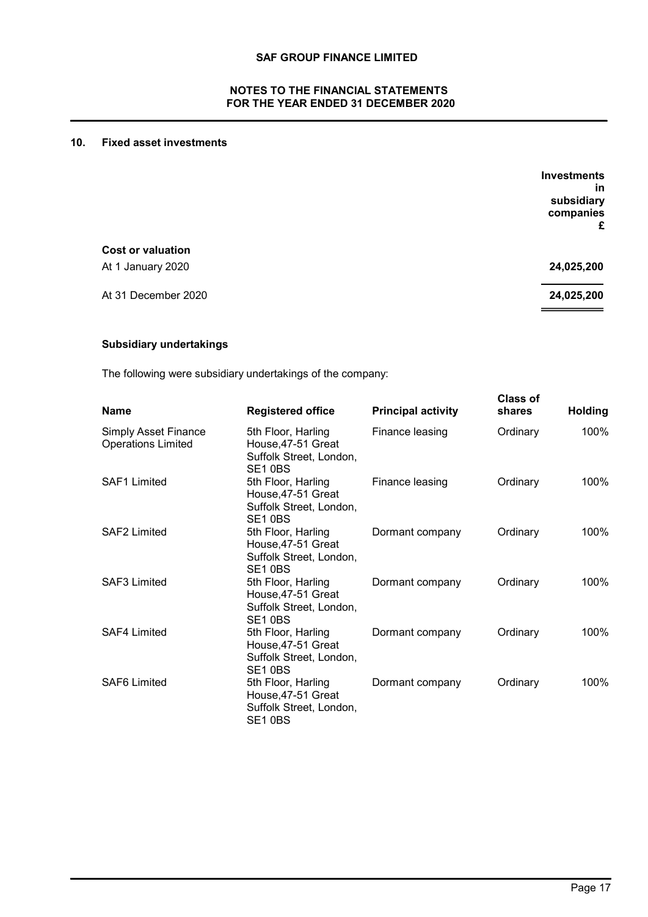### 10. Fixed asset investments

|                          | <b>Investments</b><br><b>in</b><br>subsidiary<br>companies<br>£ |
|--------------------------|-----------------------------------------------------------------|
| <b>Cost or valuation</b> |                                                                 |
| At 1 January 2020        | 24,025,200                                                      |
| At 31 December 2020      | 24,025,200                                                      |

# Subsidiary undertakings

The following were subsidiary undertakings of the company:

| <b>Name</b>                                              | <b>Registered office</b>                                                                   | <b>Principal activity</b> | Class of<br>shares | <b>Holding</b> |
|----------------------------------------------------------|--------------------------------------------------------------------------------------------|---------------------------|--------------------|----------------|
| <b>Simply Asset Finance</b><br><b>Operations Limited</b> | 5th Floor, Harling<br>House, 47-51 Great<br>Suffolk Street, London,<br>SE <sub>1</sub> 0BS | Finance leasing           | Ordinary           | 100%           |
| <b>SAF1</b> Limited                                      | 5th Floor, Harling<br>House, 47-51 Great<br>Suffolk Street, London,<br>SE <sub>1</sub> 0BS | Finance leasing           | Ordinary           | 100%           |
| <b>SAF2 Limited</b>                                      | 5th Floor, Harling<br>House, 47-51 Great<br>Suffolk Street, London,<br>SE <sub>1</sub> 0BS | Dormant company           | Ordinary           | 100%           |
| <b>SAF3 Limited</b>                                      | 5th Floor, Harling<br>House, 47-51 Great<br>Suffolk Street, London,<br>SE <sub>1</sub> 0BS | Dormant company           | Ordinary           | 100%           |
| <b>SAF4 Limited</b>                                      | 5th Floor, Harling<br>House, 47-51 Great<br>Suffolk Street, London,<br>SE <sub>1</sub> 0BS | Dormant company           | Ordinary           | 100%           |
| <b>SAF6 Limited</b>                                      | 5th Floor, Harling<br>House, 47-51 Great<br>Suffolk Street, London,<br>SE10BS              | Dormant company           | Ordinary           | 100%           |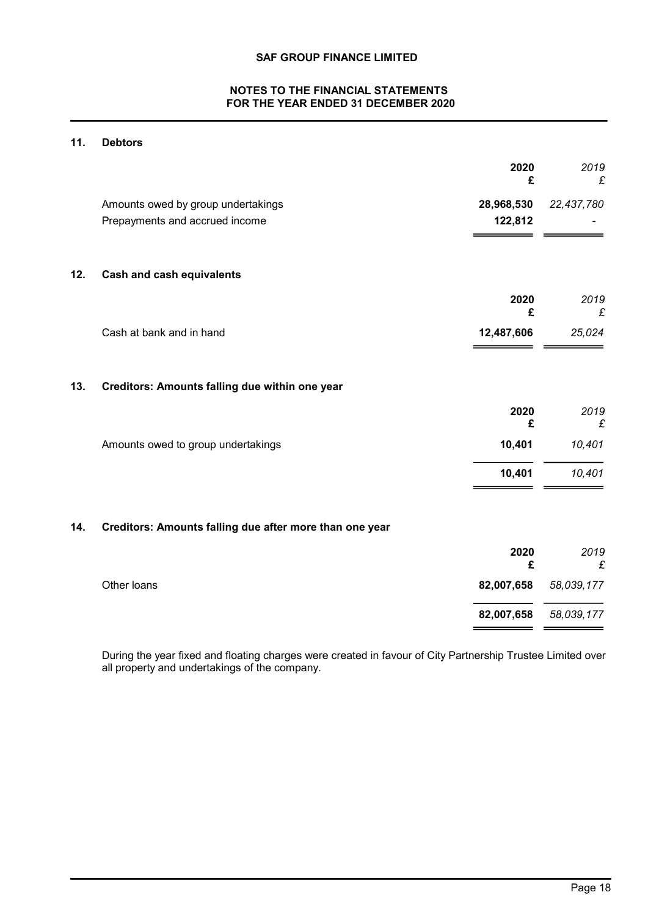## 11. Debtors

|     |                                                                      | 2020<br>£             | 2019<br>£  |
|-----|----------------------------------------------------------------------|-----------------------|------------|
|     | Amounts owed by group undertakings<br>Prepayments and accrued income | 28,968,530<br>122,812 | 22,437,780 |
| 12. | <b>Cash and cash equivalents</b>                                     |                       |            |
|     |                                                                      | 2020<br>£             | 2019<br>£  |
|     | Cash at bank and in hand                                             | 12,487,606            | 25,024     |
| 13. | Creditors: Amounts falling due within one year                       |                       |            |
|     |                                                                      | 2020<br>£             | 2019<br>£  |
|     | Amounts owed to group undertakings                                   | 10,401                | 10,401     |
|     |                                                                      | 10,401                | 10,401     |
| 14. | Creditors: Amounts falling due after more than one year              |                       |            |
|     |                                                                      | 2020<br>£             | 2019<br>£  |
|     | Other loans                                                          | 82,007,658            | 58,039,177 |
|     |                                                                      | 82,007,658            | 58,039,177 |
|     |                                                                      |                       |            |

During the year fixed and floating charges were created in favour of City Partnership Trustee Limited over all property and undertakings of the company.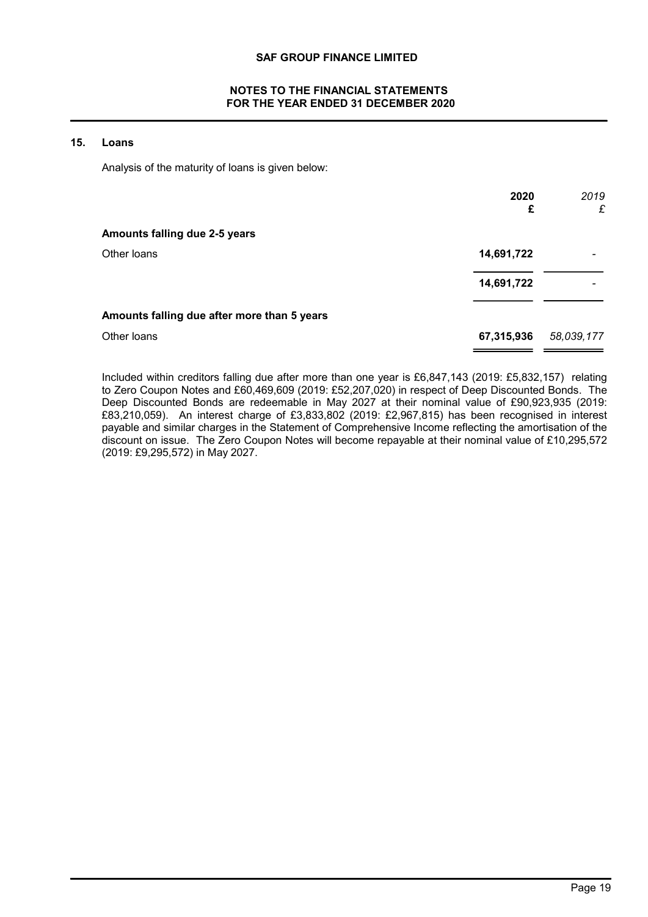### 15. Loans

Analysis of the maturity of loans is given below:

| 2020<br>£  | 2019<br>£  |
|------------|------------|
|            |            |
| 14,691,722 |            |
| 14,691,722 |            |
|            |            |
| 67,315,936 | 58,039,177 |
|            |            |

Included within creditors falling due after more than one year is £6,847,143 (2019: £5,832,157) relating to Zero Coupon Notes and £60,469,609 (2019: £52,207,020) in respect of Deep Discounted Bonds. The Deep Discounted Bonds are redeemable in May 2027 at their nominal value of £90,923,935 (2019: £83,210,059). An interest charge of £3,833,802 (2019: £2,967,815) has been recognised in interest payable and similar charges in the Statement of Comprehensive Income reflecting the amortisation of the discount on issue. The Zero Coupon Notes will become repayable at their nominal value of £10,295,572 (2019: £9,295,572) in May 2027.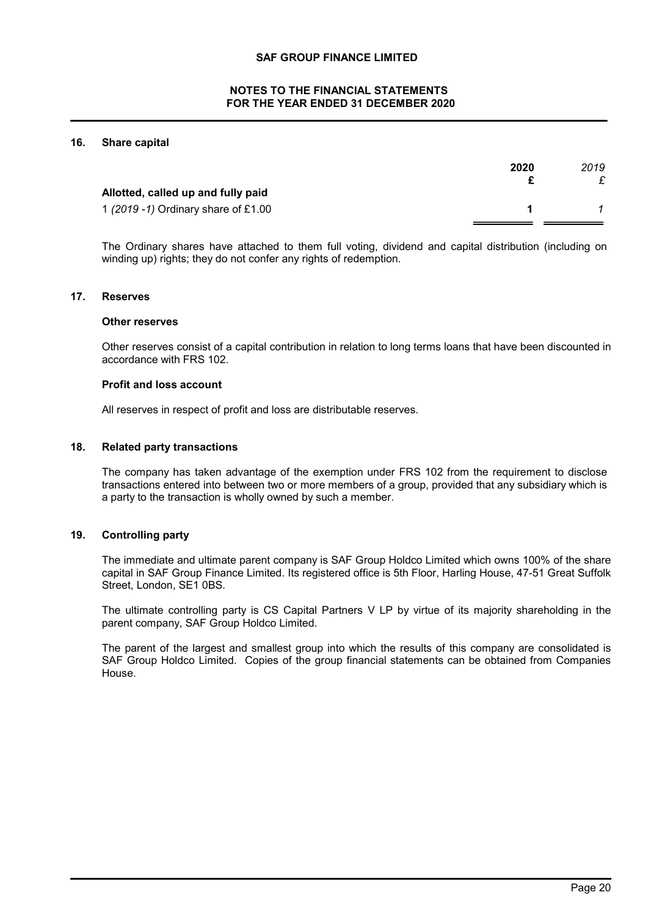#### 16. Share capital

|                                     | 2020 | 2019 |
|-------------------------------------|------|------|
| Allotted, called up and fully paid  |      |      |
| 1 (2019 -1) Ordinary share of £1.00 |      |      |

The Ordinary shares have attached to them full voting, dividend and capital distribution (including on winding up) rights; they do not confer any rights of redemption.

#### 17. Reserves

#### Other reserves

Other reserves consist of a capital contribution in relation to long terms loans that have been discounted in accordance with FRS 102.

#### Profit and loss account

All reserves in respect of profit and loss are distributable reserves.

#### 18. Related party transactions

The company has taken advantage of the exemption under FRS 102 from the requirement to disclose transactions entered into between two or more members of a group, provided that any subsidiary which is a party to the transaction is wholly owned by such a member.

#### 19. Controlling party

The immediate and ultimate parent company is SAF Group Holdco Limited which owns 100% of the share capital in SAF Group Finance Limited. Its registered office is 5th Floor, Harling House, 47-51 Great Suffolk Street, London, SE1 0BS.

The ultimate controlling party is CS Capital Partners V LP by virtue of its majority shareholding in the parent company, SAF Group Holdco Limited.

The parent of the largest and smallest group into which the results of this company are consolidated is SAF Group Holdco Limited. Copies of the group financial statements can be obtained from Companies House.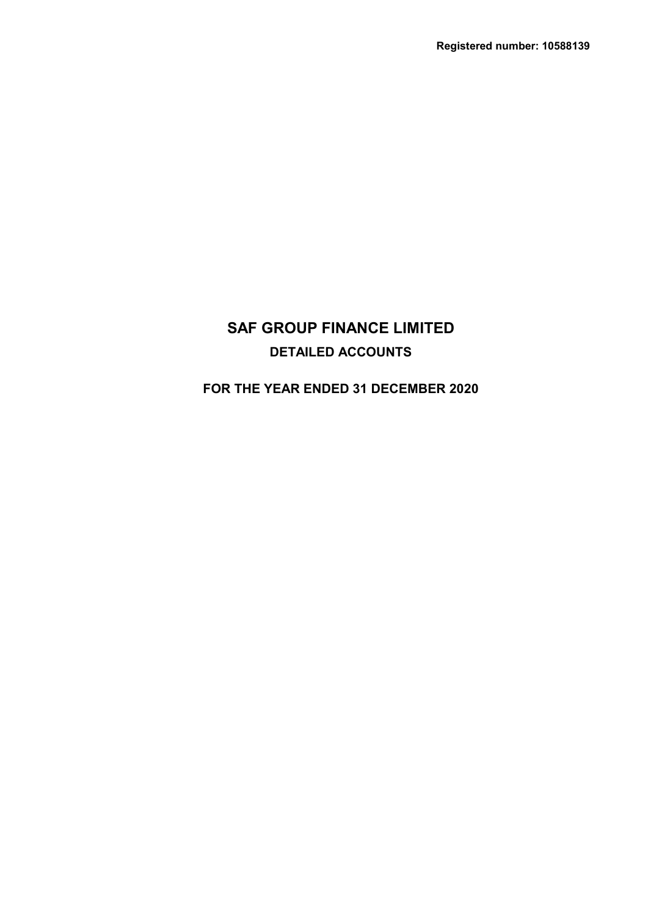# SAF GROUP FINANCE LIMITED DETAILED ACCOUNTS

FOR THE YEAR ENDED 31 DECEMBER 2020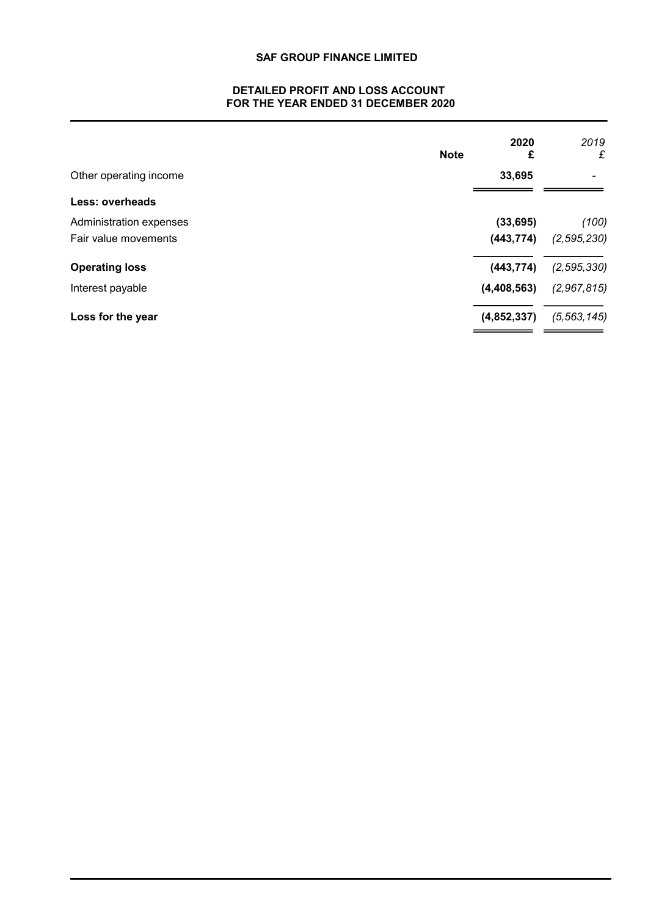### DETAILED PROFIT AND LOSS ACCOUNT FOR THE YEAR ENDED 31 DECEMBER 2020

|                         | <b>Note</b> | 2020<br>£     | 2019<br>£     |
|-------------------------|-------------|---------------|---------------|
| Other operating income  |             | 33,695        |               |
| Less: overheads         |             |               |               |
| Administration expenses |             | (33, 695)     | (100)         |
| Fair value movements    |             | (443, 774)    | (2, 595, 230) |
| <b>Operating loss</b>   |             | (443, 774)    | (2, 595, 330) |
| Interest payable        |             | (4, 408, 563) | (2,967,815)   |
| Loss for the year       |             | (4,852,337)   | (5, 563, 145) |